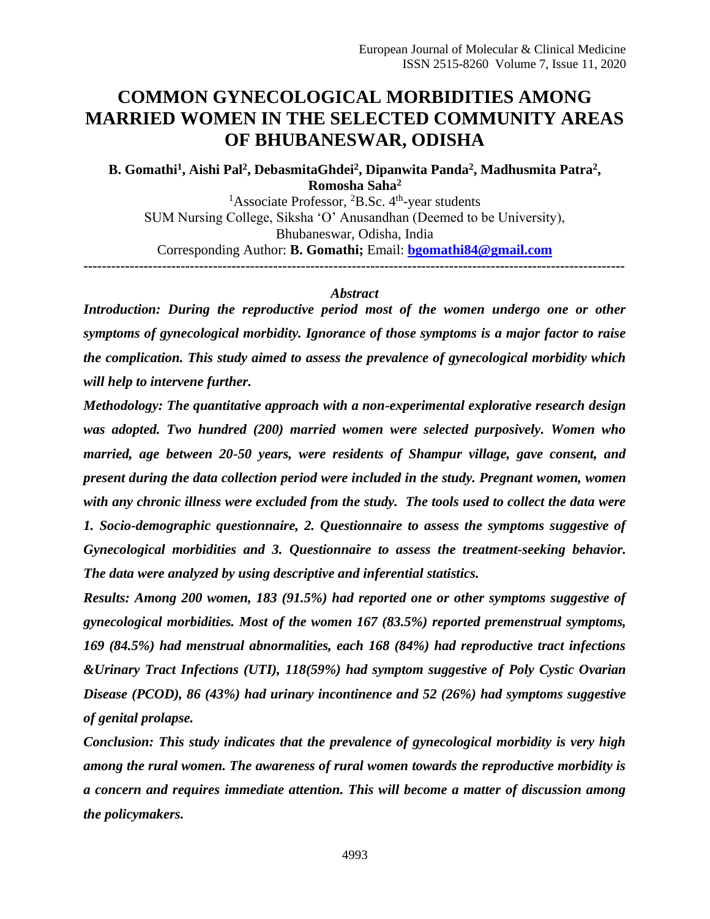# **COMMON GYNECOLOGICAL MORBIDITIES AMONG MARRIED WOMEN IN THE SELECTED COMMUNITY AREAS OF BHUBANESWAR, ODISHA**

**B. Gomathi<sup>1</sup> , Aishi Pal<sup>2</sup> , DebasmitaGhdei<sup>2</sup> , Dipanwita Panda<sup>2</sup> , Madhusmita Patra<sup>2</sup> , Romosha Saha<sup>2</sup>**

<sup>1</sup>Associate Professor, <sup>2</sup>B.Sc.  $4<sup>th</sup>$ -year students SUM Nursing College, Siksha 'O' Anusandhan (Deemed to be University), Bhubaneswar, Odisha, India Corresponding Author: **B. Gomathi;** Email: **[bgomathi84@gmail.com](mailto:bgomathi84@gmail.com) ---------------------------------------------------------------------------------------------------------------------**

#### *Abstract*

*Introduction: During the reproductive period most of the women undergo one or other symptoms of gynecological morbidity. Ignorance of those symptoms is a major factor to raise the complication. This study aimed to assess the prevalence of gynecological morbidity which will help to intervene further.*

*Methodology: The quantitative approach with a non-experimental explorative research design was adopted. Two hundred (200) married women were selected purposively. Women who married, age between 20-50 years, were residents of Shampur village, gave consent, and present during the data collection period were included in the study. Pregnant women, women with any chronic illness were excluded from the study. The tools used to collect the data were 1. Socio-demographic questionnaire, 2. Questionnaire to assess the symptoms suggestive of Gynecological morbidities and 3. Questionnaire to assess the treatment-seeking behavior. The data were analyzed by using descriptive and inferential statistics.* 

*Results: Among 200 women, 183 (91.5%) had reported one or other symptoms suggestive of gynecological morbidities. Most of the women 167 (83.5%) reported premenstrual symptoms, 169 (84.5%) had menstrual abnormalities, each 168 (84%) had reproductive tract infections &Urinary Tract Infections (UTI), 118(59%) had symptom suggestive of Poly Cystic Ovarian Disease (PCOD), 86 (43%) had urinary incontinence and 52 (26%) had symptoms suggestive of genital prolapse.*

*Conclusion: This study indicates that the prevalence of gynecological morbidity is very high among the rural women. The awareness of rural women towards the reproductive morbidity is a concern and requires immediate attention. This will become a matter of discussion among the policymakers.*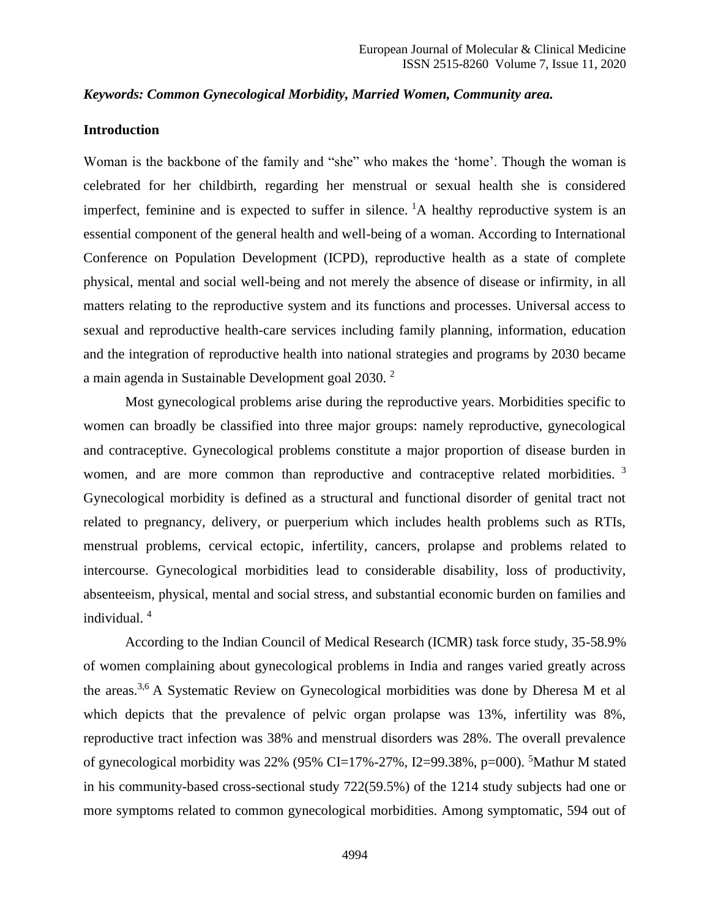#### *Keywords: Common Gynecological Morbidity, Married Women, Community area.*

### **Introduction**

Woman is the backbone of the family and "she" who makes the 'home'. Though the woman is celebrated for her childbirth, regarding her menstrual or sexual health she is considered imperfect, feminine and is expected to suffer in silence.  ${}^{1}A$  healthy reproductive system is an essential component of the general health and well-being of a woman. According to International Conference on Population Development (ICPD), reproductive health as a state of complete physical, mental and social well-being and not merely the absence of disease or infirmity, in all matters relating to the reproductive system and its functions and processes. Universal access to sexual and reproductive health-care services including family planning, information, education and the integration of reproductive health into national strategies and programs by 2030 became a main agenda in Sustainable Development goal 2030. <sup>2</sup>

Most gynecological problems arise during the reproductive years. Morbidities specific to women can broadly be classified into three major groups: namely reproductive, gynecological and contraceptive. Gynecological problems constitute a major proportion of disease burden in women, and are more common than reproductive and contraceptive related morbidities.<sup>3</sup> Gynecological morbidity is defined as a structural and functional disorder of genital tract not related to pregnancy, delivery, or puerperium which includes health problems such as RTIs, menstrual problems, cervical ectopic, infertility, cancers, prolapse and problems related to intercourse. Gynecological morbidities lead to considerable disability, loss of productivity, absenteeism, physical, mental and social stress, and substantial economic burden on families and individual. <sup>4</sup>

According to the Indian Council of Medical Research (ICMR) task force study, 35-58.9% of women complaining about gynecological problems in India and ranges varied greatly across the areas.3,6 A Systematic Review on Gynecological morbidities was done by Dheresa M et al which depicts that the prevalence of pelvic organ prolapse was 13%, infertility was 8%, reproductive tract infection was 38% and menstrual disorders was 28%. The overall prevalence of gynecological morbidity was 22% (95% CI=17%-27%, I2=99.38%,  $p=000$ ). <sup>5</sup>Mathur M stated in his community-based cross-sectional study 722(59.5%) of the 1214 study subjects had one or more symptoms related to common gynecological morbidities. Among symptomatic, 594 out of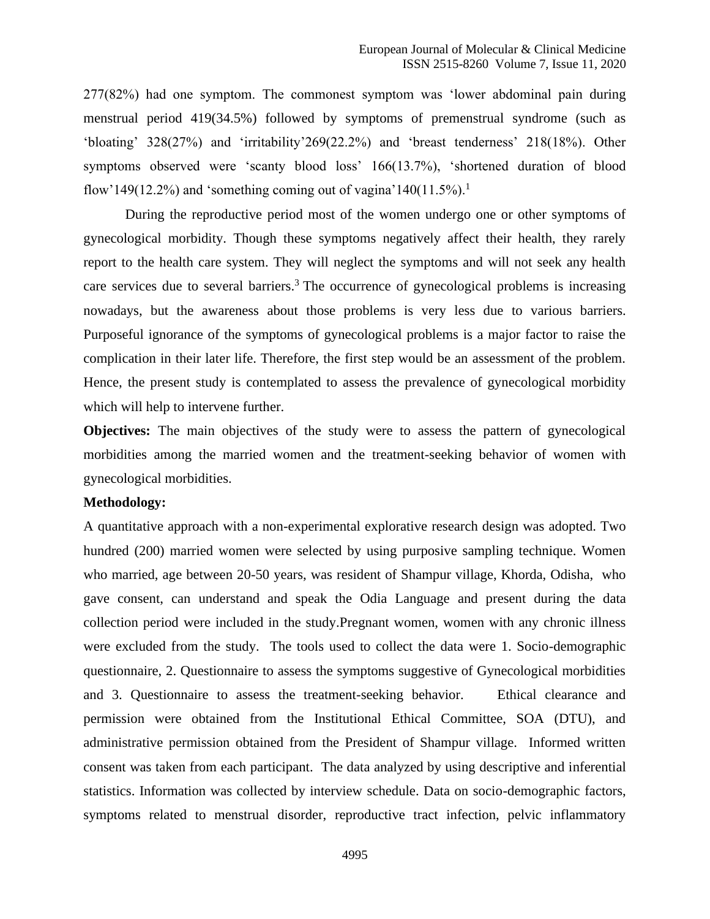277(82%) had one symptom. The commonest symptom was 'lower abdominal pain during menstrual period 419(34.5%) followed by symptoms of premenstrual syndrome (such as 'bloating' 328(27%) and 'irritability'269(22.2%) and 'breast tenderness' 218(18%). Other symptoms observed were 'scanty blood loss' 166(13.7%), 'shortened duration of blood flow'149(12.2%) and 'something coming out of vagina'140(11.5%).<sup>1</sup>

During the reproductive period most of the women undergo one or other symptoms of gynecological morbidity. Though these symptoms negatively affect their health, they rarely report to the health care system. They will neglect the symptoms and will not seek any health care services due to several barriers.<sup>3</sup> The occurrence of gynecological problems is increasing nowadays, but the awareness about those problems is very less due to various barriers. Purposeful ignorance of the symptoms of gynecological problems is a major factor to raise the complication in their later life. Therefore, the first step would be an assessment of the problem. Hence, the present study is contemplated to assess the prevalence of gynecological morbidity which will help to intervene further.

**Objectives:** The main objectives of the study were to assess the pattern of gynecological morbidities among the married women and the treatment-seeking behavior of women with gynecological morbidities.

### **Methodology:**

A quantitative approach with a non-experimental explorative research design was adopted. Two hundred (200) married women were selected by using purposive sampling technique. Women who married, age between 20-50 years, was resident of Shampur village, Khorda, Odisha, who gave consent, can understand and speak the Odia Language and present during the data collection period were included in the study.Pregnant women, women with any chronic illness were excluded from the study. The tools used to collect the data were 1. Socio-demographic questionnaire, 2. Questionnaire to assess the symptoms suggestive of Gynecological morbidities and 3. Questionnaire to assess the treatment-seeking behavior. Ethical clearance and permission were obtained from the Institutional Ethical Committee, SOA (DTU), and administrative permission obtained from the President of Shampur village. Informed written consent was taken from each participant. The data analyzed by using descriptive and inferential statistics. Information was collected by interview schedule. Data on socio-demographic factors, symptoms related to menstrual disorder, reproductive tract infection, pelvic inflammatory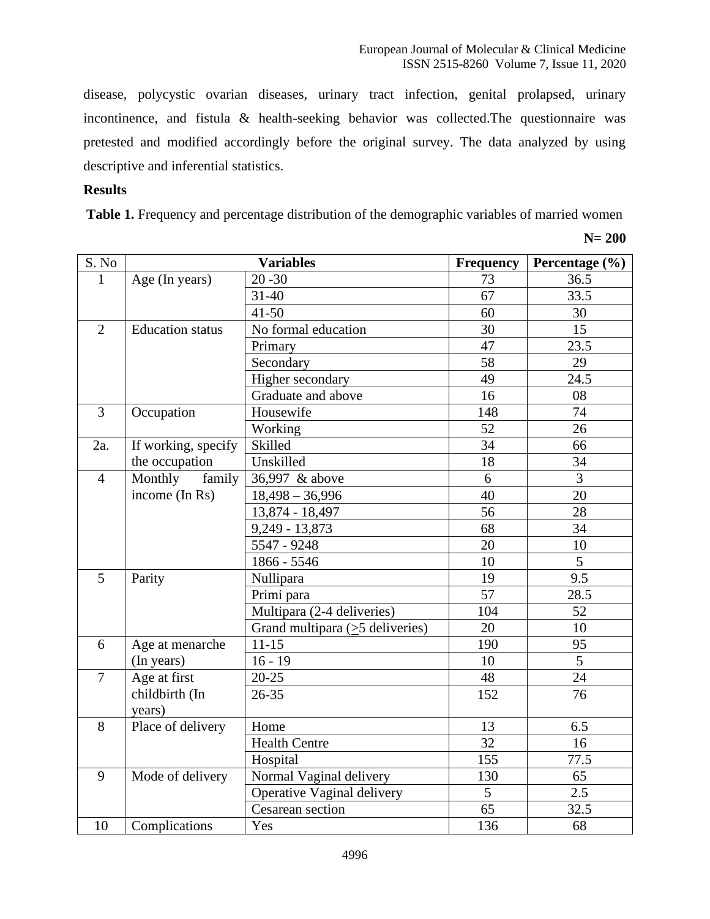disease, polycystic ovarian diseases, urinary tract infection, genital prolapsed, urinary incontinence, and fistula & health-seeking behavior was collected.The questionnaire was pretested and modified accordingly before the original survey. The data analyzed by using descriptive and inferential statistics.

### **Results**

Table 1. Frequency and percentage distribution of the demographic variables of married women

**N= 200**

| S. No          |                          | <b>Variables</b>                      | Frequency | Percentage (%) |
|----------------|--------------------------|---------------------------------------|-----------|----------------|
| 1              | Age (In years)           | $20 - 30$                             | 73        | 36.5           |
|                |                          | $31 - 40$                             | 67        | 33.5           |
|                |                          | $41 - 50$                             | 60        | 30             |
| $\overline{2}$ | <b>Education</b> status  | No formal education                   | 30        | 15             |
|                |                          | Primary                               | 47        | 23.5           |
|                |                          | Secondary                             | 58        | 29             |
|                |                          | Higher secondary                      | 49        | 24.5           |
|                |                          | Graduate and above                    | 16        | 08             |
| 3              | Occupation               | Housewife                             | 148       | 74             |
|                |                          | Working                               | 52        | 26             |
| 2a.            | If working, specify      | Skilled                               | 34        | 66             |
|                | the occupation           | Unskilled                             | 18        | 34             |
| $\overline{4}$ | family<br>Monthly        | 36,997 & above                        | 6         | $\overline{3}$ |
|                | income (In Rs)           | $18,498 - 36,996$                     | 40        | 20             |
|                |                          | 13,874 - 18,497                       | 56        | 28             |
|                |                          | 9,249 - 13,873                        | 68        | 34             |
|                |                          | 5547 - 9248                           | 20        | 10             |
|                |                          | 1866 - 5546                           | 10        | $\overline{5}$ |
| 5              | Parity                   | Nullipara                             | 19        | 9.5            |
|                |                          | Primi para                            | 57        | 28.5           |
|                |                          | Multipara (2-4 deliveries)            | 104       | 52             |
|                |                          | Grand multipara $(\geq 5$ deliveries) | 20        | 10             |
| 6              | Age at menarche          | $11 - 15$                             | 190       | 95             |
|                | (In years)               | $16 - 19$                             | 10        | 5              |
| $\overline{7}$ | Age at first             | $20 - 25$                             | 48        | 24             |
|                | childbirth (In<br>years) | $26 - 35$                             | 152       | 76             |
| 8              | Place of delivery        | Home                                  | 13        | 6.5            |
|                |                          | <b>Health Centre</b>                  | 32        | 16             |
|                |                          | Hospital                              | 155       | 77.5           |
| 9              | Mode of delivery         | Normal Vaginal delivery               | 130       | 65             |
|                |                          | Operative Vaginal delivery            | 5         | 2.5            |
|                |                          | Cesarean section                      | 65        | 32.5           |
| 10             | Complications            | Yes                                   | 136       | 68             |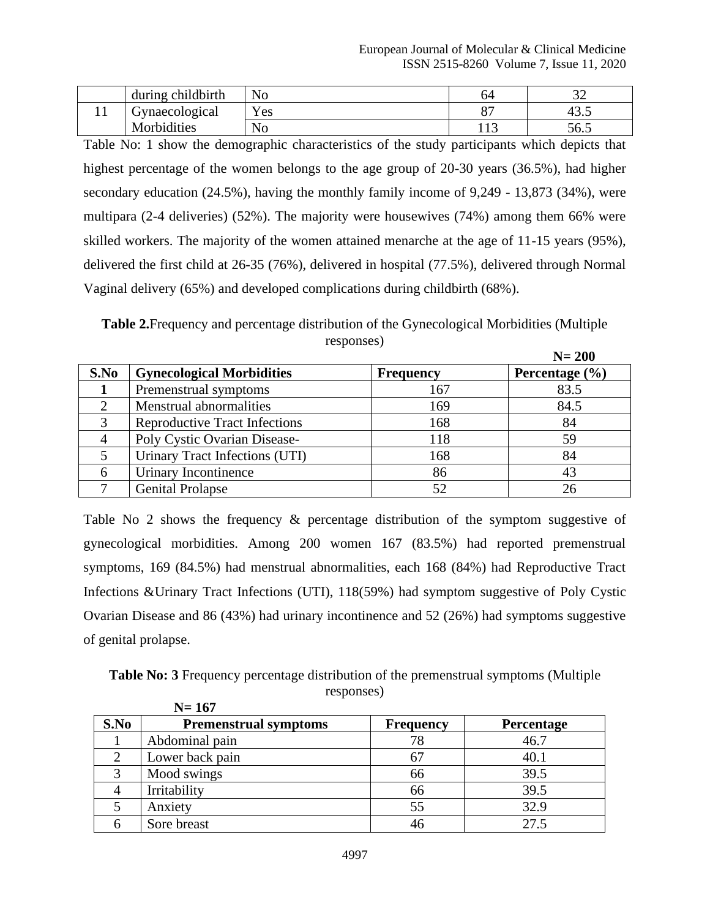| during childbirth | No               | 04      | ົ<br>ے ب |
|-------------------|------------------|---------|----------|
| Gynaecological    | Yes              | ⌒ー<br>ັ |          |
| Morbidities       | $\sqrt{ }$<br>No | .       | 56.5     |

Table No: 1 show the demographic characteristics of the study participants which depicts that highest percentage of the women belongs to the age group of 20-30 years (36.5%), had higher secondary education (24.5%), having the monthly family income of 9,249 - 13,873 (34%), were multipara (2-4 deliveries) (52%). The majority were housewives (74%) among them 66% were skilled workers. The majority of the women attained menarche at the age of 11-15 years (95%), delivered the first child at 26-35 (76%), delivered in hospital (77.5%), delivered through Normal Vaginal delivery (65%) and developed complications during childbirth (68%).

**Table 2.**Frequency and percentage distribution of the Gynecological Morbidities (Multiple responses)

|               |                                      |                  | $N=200$            |
|---------------|--------------------------------------|------------------|--------------------|
| S.No          | <b>Gynecological Morbidities</b>     | <b>Frequency</b> | Percentage $(\% )$ |
|               | Premenstrual symptoms                | 167              | 83.5               |
|               | <b>Menstrual abnormalities</b>       | 169              | 84.5               |
| $\mathcal{R}$ | <b>Reproductive Tract Infections</b> | 168              | 84                 |
|               | Poly Cystic Ovarian Disease-         | 118              | 59                 |
|               | Urinary Tract Infections (UTI)       | 168              | 84                 |
|               | Urinary Incontinence                 | 86               | 43                 |
|               | <b>Genital Prolapse</b>              |                  | 26                 |

Table No 2 shows the frequency & percentage distribution of the symptom suggestive of gynecological morbidities. Among 200 women 167 (83.5%) had reported premenstrual symptoms, 169 (84.5%) had menstrual abnormalities, each 168 (84%) had Reproductive Tract Infections &Urinary Tract Infections (UTI), 118(59%) had symptom suggestive of Poly Cystic Ovarian Disease and 86 (43%) had urinary incontinence and 52 (26%) had symptoms suggestive of genital prolapse.

**Table No: 3** Frequency percentage distribution of the premenstrual symptoms (Multiple responses)  **N= 167**

|      | $11 - 111$                   |                  |                   |
|------|------------------------------|------------------|-------------------|
| S.No | <b>Premenstrual symptoms</b> | <b>Frequency</b> | <b>Percentage</b> |
|      | Abdominal pain               | 78               | 46.7              |
|      | Lower back pain              |                  | 40.1              |
|      | Mood swings                  | 66               | 39.5              |
|      | Irritability                 | 66               | 39.5              |
|      | Anxiety                      | 55               | 32.9              |
|      | Sore breast                  |                  | 27.5              |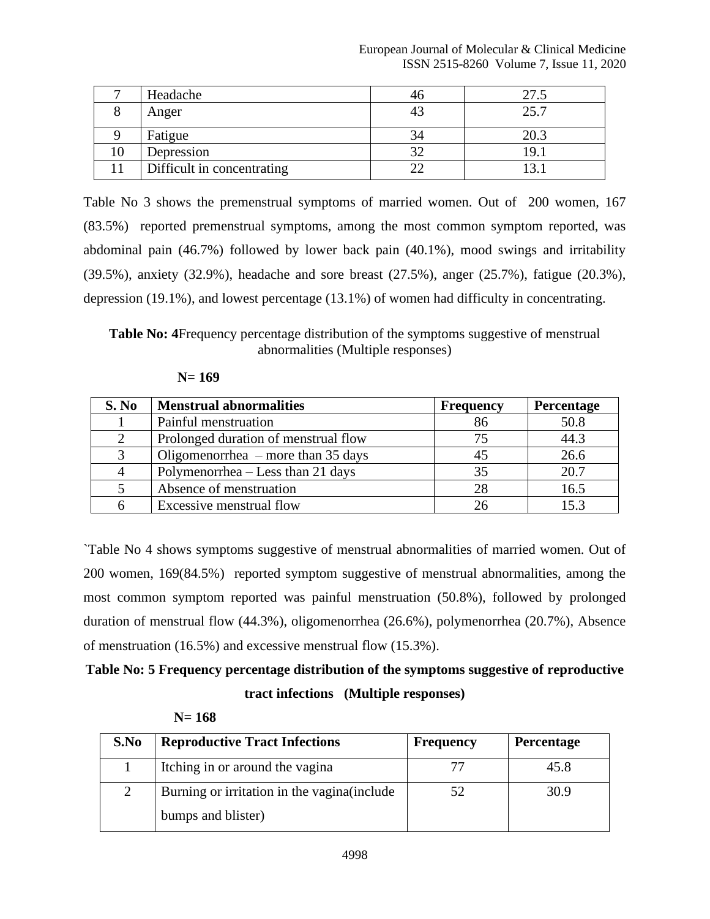|    | Headache                   |    | 27.5 |
|----|----------------------------|----|------|
|    | Anger                      | 43 | 25.7 |
|    | Fatigue                    |    | 20.3 |
| 10 | Depression                 |    | 19.  |
|    | Difficult in concentrating |    | 3.   |

Table No 3 shows the premenstrual symptoms of married women. Out of 200 women, 167 (83.5%) reported premenstrual symptoms, among the most common symptom reported, was abdominal pain (46.7%) followed by lower back pain (40.1%), mood swings and irritability (39.5%), anxiety (32.9%), headache and sore breast (27.5%), anger (25.7%), fatigue (20.3%), depression (19.1%), and lowest percentage (13.1%) of women had difficulty in concentrating.

**Table No: 4**Frequency percentage distribution of the symptoms suggestive of menstrual abnormalities (Multiple responses)

| $N = 169$ |
|-----------|
|-----------|

| S. No | <b>Menstrual abnormalities</b>       | <b>Frequency</b> | Percentage |
|-------|--------------------------------------|------------------|------------|
|       | Painful menstruation                 |                  | 50.8       |
| 2     | Prolonged duration of menstrual flow | 75               | 44.3       |
| 3     | Oligomenorrhea $-$ more than 35 days |                  | 26.6       |
| 4     | Polymenorrhea – Less than 21 days    | 35               | 20.7       |
|       | Absence of menstruation              | 28               | 16.5       |
|       | Excessive menstrual flow             |                  | 15.2       |

`Table No 4 shows symptoms suggestive of menstrual abnormalities of married women. Out of 200 women, 169(84.5%) reported symptom suggestive of menstrual abnormalities, among the most common symptom reported was painful menstruation (50.8%), followed by prolonged duration of menstrual flow (44.3%), oligomenorrhea (26.6%), polymenorrhea (20.7%), Absence of menstruation (16.5%) and excessive menstrual flow (15.3%).

# **Table No: 5 Frequency percentage distribution of the symptoms suggestive of reproductive tract infections (Multiple responses)**

| S.No | <b>Reproductive Tract Infections</b>                               | <b>Frequency</b> | <b>Percentage</b> |
|------|--------------------------------------------------------------------|------------------|-------------------|
|      | Itching in or around the vagina                                    |                  | 45.8              |
|      | Burning or irritation in the vagina (include<br>bumps and blister) | 52               | 30.9              |

| $N = 168$ |
|-----------|
|-----------|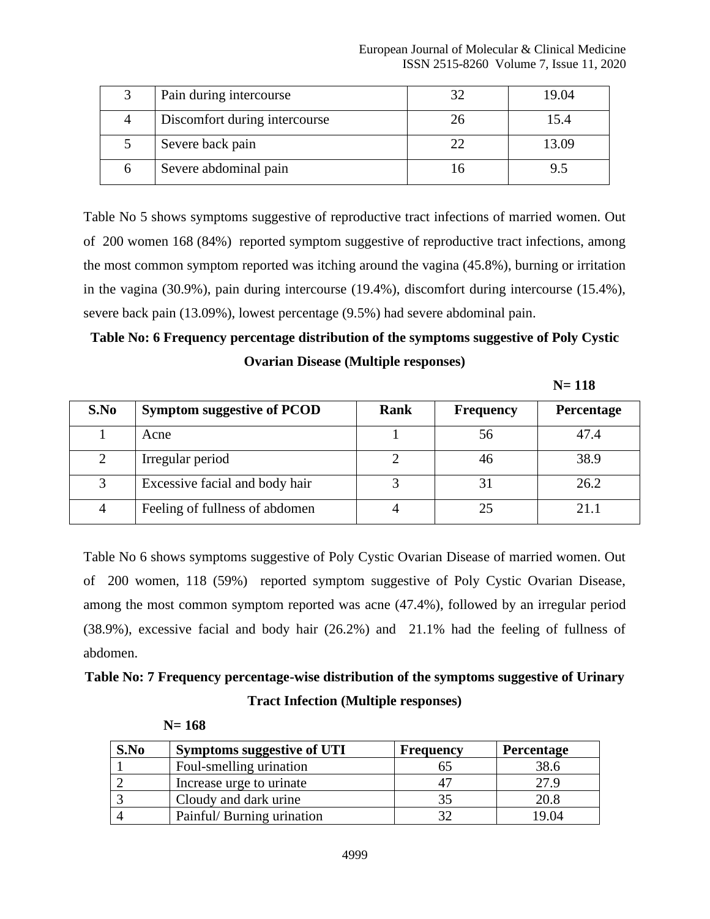| Pain during intercourse       | 32 | 19.04 |
|-------------------------------|----|-------|
| Discomfort during intercourse | 26 | 15.4  |
| Severe back pain              | つつ | 13.09 |
| Severe abdominal pain         | ın |       |

Table No 5 shows symptoms suggestive of reproductive tract infections of married women. Out of 200 women 168 (84%) reported symptom suggestive of reproductive tract infections, among the most common symptom reported was itching around the vagina (45.8%), burning or irritation in the vagina (30.9%), pain during intercourse (19.4%), discomfort during intercourse (15.4%), severe back pain (13.09%), lowest percentage (9.5%) had severe abdominal pain.

# **Table No: 6 Frequency percentage distribution of the symptoms suggestive of Poly Cystic Ovarian Disease (Multiple responses)**

| S.No | <b>Symptom suggestive of PCOD</b> | Rank | <b>Frequency</b> | Percentage |
|------|-----------------------------------|------|------------------|------------|
|      | Acne                              |      | 56               | 47.4       |
|      | Irregular period                  |      | 46               | 38.9       |
| 3    | Excessive facial and body hair    |      | 3.               | 26.2       |
| 4    | Feeling of fullness of abdomen    |      | 25               | 21.1       |

Table No 6 shows symptoms suggestive of Poly Cystic Ovarian Disease of married women. Out of 200 women, 118 (59%) reported symptom suggestive of Poly Cystic Ovarian Disease, among the most common symptom reported was acne (47.4%), followed by an irregular period (38.9%), excessive facial and body hair (26.2%) and 21.1% had the feeling of fullness of abdomen.

# **Table No: 7 Frequency percentage-wise distribution of the symptoms suggestive of Urinary Tract Infection (Multiple responses)**

| S.No | <b>Symptoms suggestive of UTI</b> | <b>Frequency</b> | <b>Percentage</b> |
|------|-----------------------------------|------------------|-------------------|
|      | Foul-smelling urination           |                  | 38.6              |
|      | Increase urge to urinate          |                  | 27.9              |
|      | Cloudy and dark urine             |                  | 20.8              |
|      | Painful/ Burning urination        |                  | 19.04             |

 **N= 168**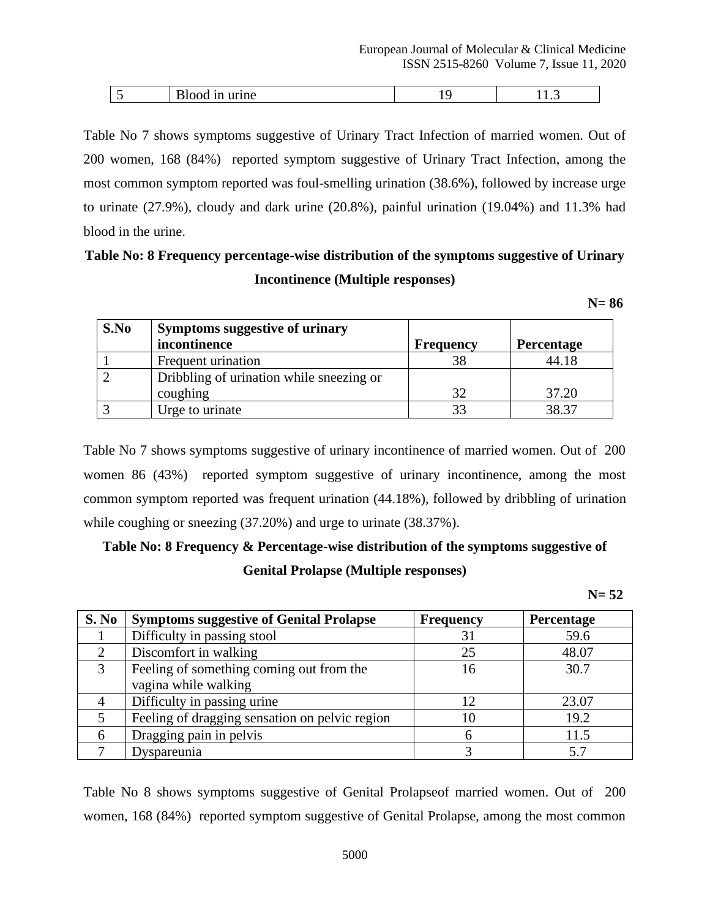|  | . |  |
|--|---|--|
|  |   |  |

Table No 7 shows symptoms suggestive of Urinary Tract Infection of married women. Out of 200 women, 168 (84%) reported symptom suggestive of Urinary Tract Infection, among the most common symptom reported was foul-smelling urination (38.6%), followed by increase urge to urinate (27.9%), cloudy and dark urine (20.8%), painful urination (19.04%) and 11.3% had blood in the urine.

# **Table No: 8 Frequency percentage-wise distribution of the symptoms suggestive of Urinary Incontinence (Multiple responses)**

 **N= 86**

| S.No | <b>Symptoms suggestive of urinary</b>    |                  |                   |
|------|------------------------------------------|------------------|-------------------|
|      | incontinence                             | <b>Frequency</b> | <b>Percentage</b> |
|      | Frequent urination                       | 38               | 44.18             |
|      | Dribbling of urination while sneezing or |                  |                   |
|      | coughing                                 | 32               | 37.20             |
|      | Urge to urinate                          | 33               | 38.37             |

Table No 7 shows symptoms suggestive of urinary incontinence of married women. Out of 200 women 86 (43%) reported symptom suggestive of urinary incontinence, among the most common symptom reported was frequent urination (44.18%), followed by dribbling of urination while coughing or sneezing  $(37.20%)$  and urge to urinate  $(38.37%).$ 

# **Table No: 8 Frequency & Percentage-wise distribution of the symptoms suggestive of Genital Prolapse (Multiple responses)**

 **N= 52**

| S. No                       | <b>Symptoms suggestive of Genital Prolapse</b> | <b>Frequency</b> | Percentage |
|-----------------------------|------------------------------------------------|------------------|------------|
|                             | Difficulty in passing stool                    | 31               | 59.6       |
| $\mathcal{D}_{\mathcal{L}}$ | Discomfort in walking                          | 25               | 48.07      |
| 3                           | Feeling of something coming out from the       | 16               | 30.7       |
|                             | vagina while walking                           |                  |            |
|                             | Difficulty in passing urine                    | 12               | 23.07      |
|                             | Feeling of dragging sensation on pelvic region | 10               | 19.2       |
|                             | Dragging pain in pelvis                        | 6                | 11.5       |
|                             | Dyspareunia                                    | 2                | 57         |

Table No 8 shows symptoms suggestive of Genital Prolapseof married women. Out of 200 women, 168 (84%) reported symptom suggestive of Genital Prolapse, among the most common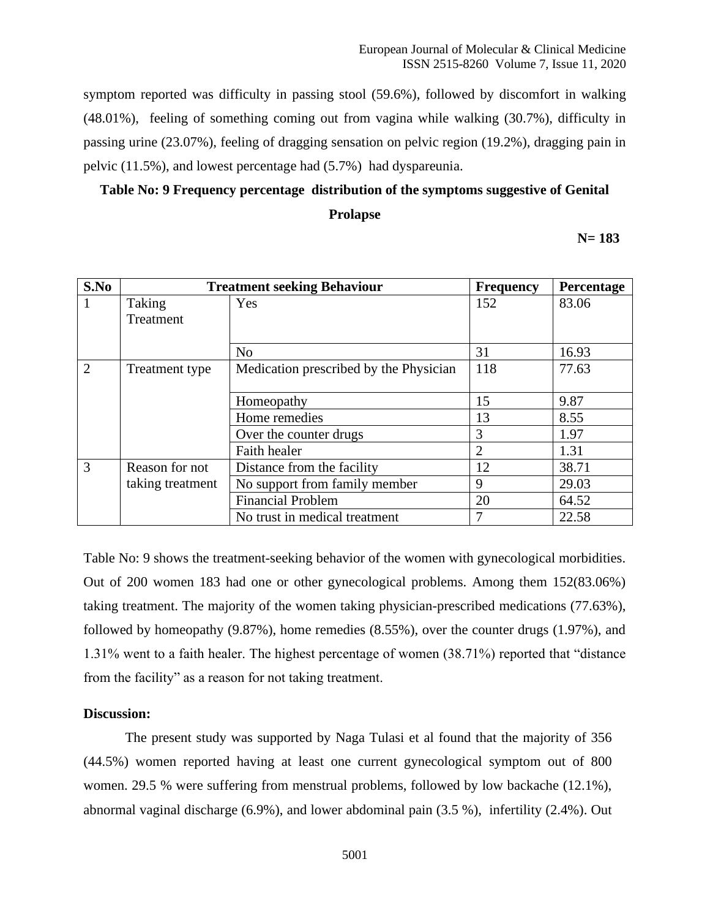symptom reported was difficulty in passing stool (59.6%), followed by discomfort in walking (48.01%), feeling of something coming out from vagina while walking (30.7%), difficulty in passing urine (23.07%), feeling of dragging sensation on pelvic region (19.2%), dragging pain in pelvic (11.5%), and lowest percentage had (5.7%) had dyspareunia.

## **Table No: 9 Frequency percentage distribution of the symptoms suggestive of Genital Prolapse**

 **N= 183**

| S.No           | <b>Treatment seeking Behaviour</b> |                                        | <b>Frequency</b> | Percentage |
|----------------|------------------------------------|----------------------------------------|------------------|------------|
| 1              | Taking                             | Yes                                    | 152              | 83.06      |
|                | Treatment                          |                                        |                  |            |
|                |                                    | N <sub>o</sub>                         | 31               | 16.93      |
| $\overline{2}$ | Treatment type                     | Medication prescribed by the Physician | 118              | 77.63      |
|                |                                    | Homeopathy                             | 15               | 9.87       |
|                |                                    | Home remedies                          | 13               | 8.55       |
|                |                                    | Over the counter drugs                 | 3                | 1.97       |
|                |                                    | Faith healer                           | $\overline{2}$   | 1.31       |
| 3              | Reason for not                     | Distance from the facility             | 12               | 38.71      |
|                | taking treatment                   | No support from family member          | 9                | 29.03      |
|                |                                    | <b>Financial Problem</b>               | 20               | 64.52      |
|                |                                    | No trust in medical treatment          | 7                | 22.58      |

Table No: 9 shows the treatment-seeking behavior of the women with gynecological morbidities. Out of 200 women 183 had one or other gynecological problems. Among them 152(83.06%) taking treatment. The majority of the women taking physician-prescribed medications (77.63%), followed by homeopathy (9.87%), home remedies (8.55%), over the counter drugs (1.97%), and 1.31% went to a faith healer. The highest percentage of women (38.71%) reported that "distance from the facility" as a reason for not taking treatment.

## **Discussion:**

The present study was supported by Naga Tulasi et al found that the majority of 356 (44.5%) women reported having at least one current gynecological symptom out of 800 women. 29.5 % were suffering from menstrual problems, followed by low backache (12.1%), abnormal vaginal discharge (6.9%), and lower abdominal pain (3.5 %), infertility (2.4%). Out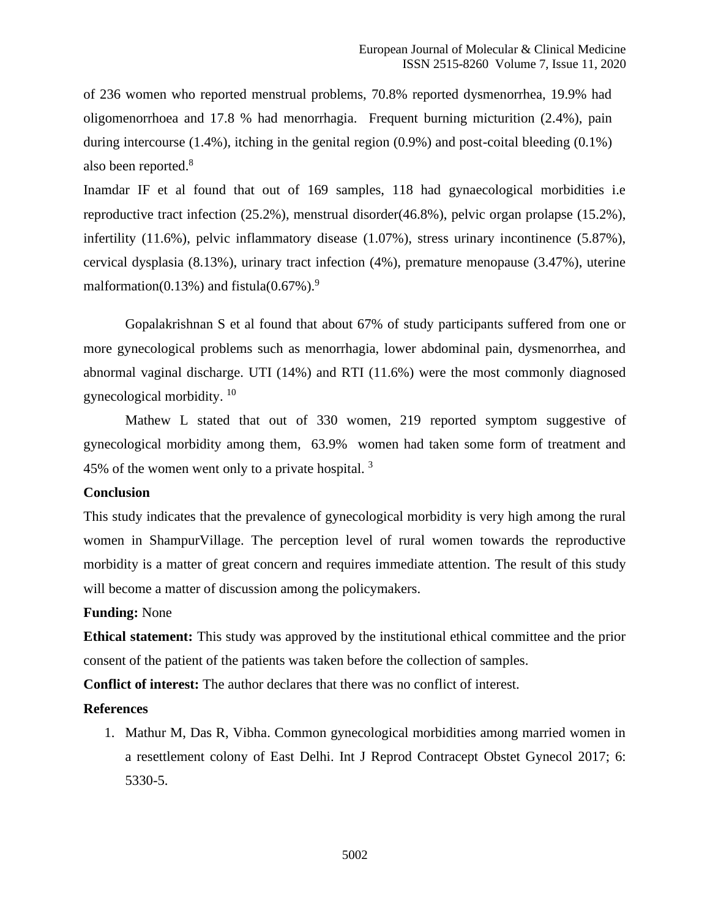of 236 women who reported menstrual problems, 70.8% reported dysmenorrhea, 19.9% had oligomenorrhoea and 17.8 % had menorrhagia. Frequent burning micturition (2.4%), pain during intercourse (1.4%), itching in the genital region (0.9%) and post-coital bleeding (0.1%) also been reported.<sup>8</sup>

Inamdar IF et al found that out of 169 samples, 118 had gynaecological morbidities i.e reproductive tract infection (25.2%), menstrual disorder(46.8%), pelvic organ prolapse (15.2%), infertility (11.6%), pelvic inflammatory disease (1.07%), stress urinary incontinence (5.87%), cervical dysplasia (8.13%), urinary tract infection (4%), premature menopause (3.47%), uterine malformation(0.13%) and fistula(0.67%).<sup>9</sup>

Gopalakrishnan S et al found that about 67% of study participants suffered from one or more gynecological problems such as menorrhagia, lower abdominal pain, dysmenorrhea, and abnormal vaginal discharge. UTI (14%) and RTI (11.6%) were the most commonly diagnosed gynecological morbidity. <sup>10</sup>

Mathew L stated that out of 330 women, 219 reported symptom suggestive of gynecological morbidity among them, 63.9% women had taken some form of treatment and 45% of the women went only to a private hospital.  $3\overline{ }$ 

#### **Conclusion**

This study indicates that the prevalence of gynecological morbidity is very high among the rural women in ShampurVillage. The perception level of rural women towards the reproductive morbidity is a matter of great concern and requires immediate attention. The result of this study will become a matter of discussion among the policymakers.

#### **Funding:** None

**Ethical statement:** This study was approved by the institutional ethical committee and the prior consent of the patient of the patients was taken before the collection of samples.

**Conflict of interest:** The author declares that there was no conflict of interest.

### **References**

1. Mathur M, Das R, Vibha. Common gynecological morbidities among married women in a resettlement colony of East Delhi. Int J Reprod Contracept Obstet Gynecol 2017; 6: 5330-5.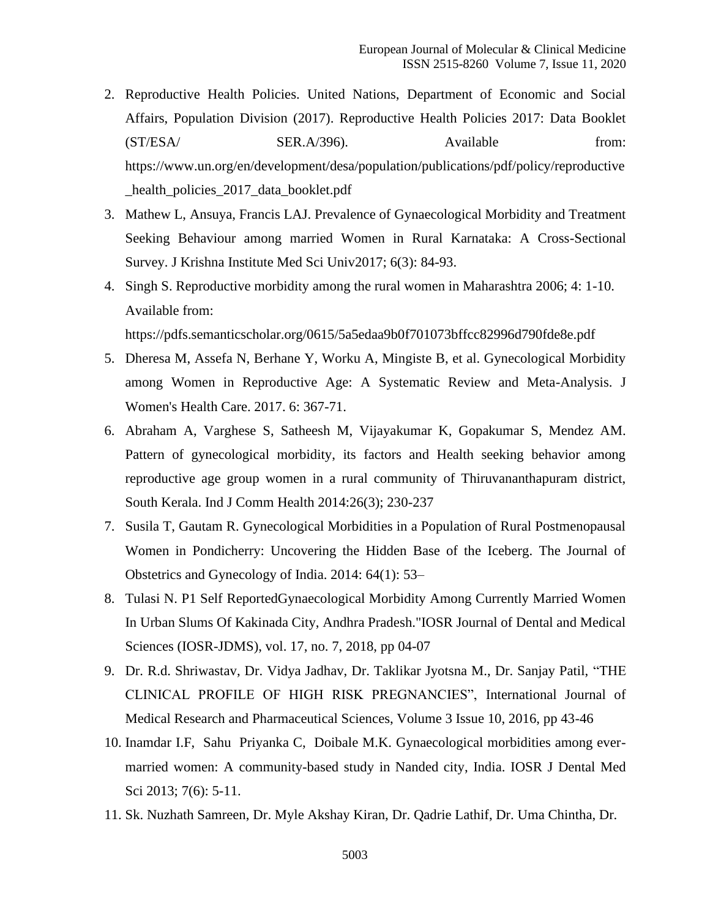- 2. Reproductive Health Policies. United Nations, Department of Economic and Social Affairs, Population Division (2017). Reproductive Health Policies 2017: Data Booklet (ST/ESA/
SER.A/396). Available from: [https://www.un.org/en/development/desa/population/publications/pdf/policy/reproductive](https://www.un.org/en/development/desa/population/publications/pdf/policy/reproductive_health_policies_2017_data_booklet.pdf) [\\_health\\_policies\\_2017\\_data\\_booklet.pdf](https://www.un.org/en/development/desa/population/publications/pdf/policy/reproductive_health_policies_2017_data_booklet.pdf)
- 3. Mathew L, Ansuya, Francis LAJ. Prevalence of Gynaecological Morbidity and Treatment Seeking Behaviour among married Women in Rural Karnataka: A Cross-Sectional Survey. J Krishna Institute Med Sci Univ2017; 6(3): 84-93.
- 4. Singh S. Reproductive morbidity among the rural women in Maharashtra 2006; 4: 1-10. Available from:

<https://pdfs.semanticscholar.org/0615/5a5edaa9b0f701073bffcc82996d790fde8e.pdf>

- 5. Dheresa M, Assefa N, Berhane Y, Worku A, Mingiste B, et al. Gynecological Morbidity among Women in Reproductive Age: A Systematic Review and Meta-Analysis. J Women's Health Care. 2017. 6: 367-71.
- 6. Abraham A, Varghese S, Satheesh M, Vijayakumar K, Gopakumar S, Mendez AM. Pattern of gynecological morbidity, its factors and Health seeking behavior among reproductive age group women in a rural community of Thiruvananthapuram district, South Kerala. Ind J Comm Health 2014:26(3); 230-237
- 7. Susila T, Gautam R. Gynecological Morbidities in a Population of Rural Postmenopausal Women in Pondicherry: Uncovering the Hidden Base of the Iceberg. The Journal of Obstetrics and Gynecology of India. 2014: 64(1): 53–
- 8. Tulasi N. P1 Self ReportedGynaecological Morbidity Among Currently Married Women In Urban Slums Of Kakinada City, Andhra Pradesh."IOSR Journal of Dental and Medical Sciences (IOSR-JDMS), vol. 17, no. 7, 2018, pp 04-07
- 9. Dr. R.d. Shriwastav, Dr. Vidya Jadhav, Dr. Taklikar Jyotsna M., Dr. Sanjay Patil, "THE CLINICAL PROFILE OF HIGH RISK PREGNANCIES", International Journal of Medical Research and Pharmaceutical Sciences, Volume 3 Issue 10, 2016, pp 43-46
- 10. Inamdar I.F, Sahu Priyanka C, Doibale M.K. Gynaecological morbidities among evermarried women: A community-based study in Nanded city, India. IOSR J Dental Med Sci 2013; 7(6): 5-11.
- 11. Sk. Nuzhath Samreen, Dr. Myle Akshay Kiran, Dr. Qadrie Lathif, Dr. Uma Chintha, Dr.